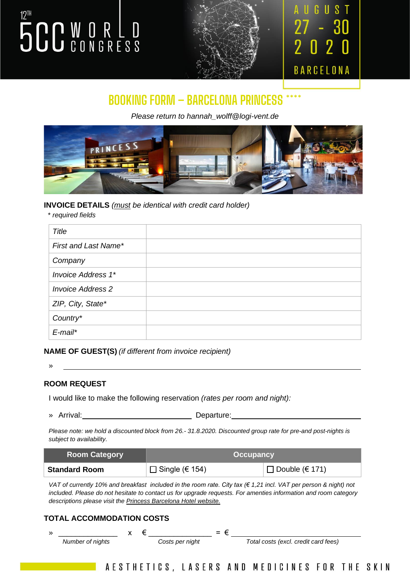# **5CC WORLD**



### N BARCELONA

### **BOOKING FORM – BARCELONA PRINCESS \*\*\*\***

*Please return to hannah\_wolff@logi-vent.de*



#### **INVOICE DETAILS** *(must be identical with credit card holder)*

 *\* required fields*

| <b>Title</b>              |  |
|---------------------------|--|
| First and Last Name*      |  |
| Company                   |  |
| <b>Invoice Address 1*</b> |  |
| <b>Invoice Address 2</b>  |  |
| ZIP, City, State*         |  |
| Country*                  |  |
| $E$ -mail*                |  |

**NAME OF GUEST(S)** *(if different from invoice recipient)*

» <u>and</u> the contract of the contract of the contract of the contract of the contract of the contract of the contract of the contract of the contract of the contract of the contract of the contract of the contract of the co

#### **ROOM REQUEST**

I would like to make the following reservation *(rates per room and night):*

» Arrival: Departure:

*Please note: we hold a discounted block from 26.- 31.8.2020. Discounted group rate for pre-and post-nights is subject to availability.*

| <b>Room Category</b> | <b>Occupancy</b>   |                       |  |
|----------------------|--------------------|-----------------------|--|
| <b>Standard Room</b> | $□$ Single (€ 154) | $\Box$ Double (€ 171) |  |

*VAT of currently 10% and breakfast included in the room rate. City tax (€ 1,21 incl. VAT per person & night) not included. Please do not hesitate to contact us for upgrade requests. For amenties information and room category descriptions please visit the [Princess Barcelona Hotel website.](http://hotelbarcelonaprincess.com/en/rooms)*

#### **TOTAL ACCOMMODATION COSTS**

 $\begin{array}{ccccccc}\n\ast & \cdots & \cdots & \cdots & \ast & \epsilon & \cdots & \cdots & \cdots\n\end{array}$  *Number of nights Costs per night Total costs (excl. credit card fees)*

AESTHETICS, LASERS AND MEDICINES FOR THE SKIN